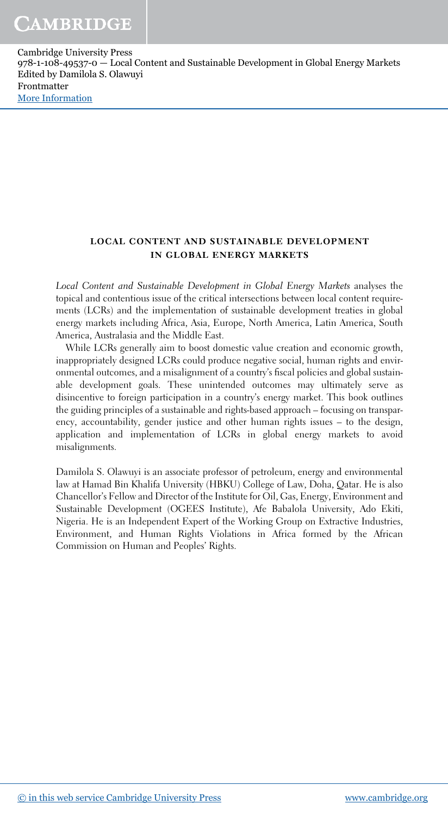#### local content and sustainable development in global energy markets

*Local Content and Sustainable Development in Global Energy Markets* analyses the topical and contentious issue of the critical intersections between local content requirements (LCRs) and the implementation of sustainable development treaties in global energy markets including Africa, Asia, Europe, North America, Latin America, South America, Australasia and the Middle East.

While LCRs generally aim to boost domestic value creation and economic growth, inappropriately designed LCRs could produce negative social, human rights and environmental outcomes, and a misalignment of a country's fiscal policies and global sustainable development goals. These unintended outcomes may ultimately serve as disincentive to foreign participation in a country's energy market. This book outlines the guiding principles of a sustainable and rights-based approach – focusing on transparency, accountability, gender justice and other human rights issues – to the design, application and implementation of LCRs in global energy markets to avoid misalignments.

Damilola S. Olawuyi is an associate professor of petroleum, energy and environmental law at Hamad Bin Khalifa University (HBKU) College of Law, Doha, Qatar. He is also Chancellor's Fellow and Director of the Institute for Oil, Gas, Energy, Environment and Sustainable Development (OGEES Institute), Afe Babalola University, Ado Ekiti, Nigeria. He is an Independent Expert of the Working Group on Extractive Industries, Environment, and Human Rights Violations in Africa formed by the African Commission on Human and Peoples' Rights.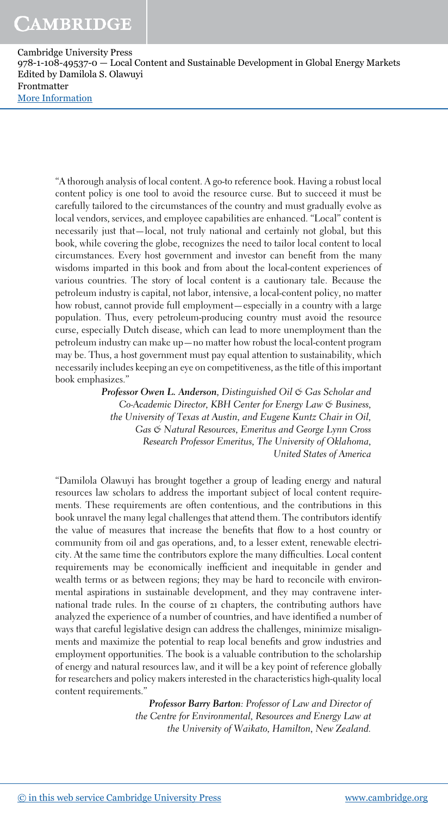"A thorough analysis of local content. A go-to reference book. Having a robust local content policy is one tool to avoid the resource curse. But to succeed it must be carefully tailored to the circumstances of the country and must gradually evolve as local vendors, services, and employee capabilities are enhanced. "Local" content is necessarily just that—local, not truly national and certainly not global, but this book, while covering the globe, recognizes the need to tailor local content to local circumstances. Every host government and investor can benefit from the many wisdoms imparted in this book and from about the local-content experiences of various countries. The story of local content is a cautionary tale. Because the petroleum industry is capital, not labor, intensive, a local-content policy, no matter how robust, cannot provide full employment—especially in a country with a large population. Thus, every petroleum-producing country must avoid the resource curse, especially Dutch disease, which can lead to more unemployment than the petroleum industry can make up—no matter how robust the local-content program may be. Thus, a host government must pay equal attention to sustainability, which necessarily includes keeping an eye on competitiveness, as the title of this important book emphasizes."

> Professor Owen L. Anderson*, Distinguished Oil & Gas Scholar and Co-Academic Director, KBH Center for Energy Law & Business,* the University of Texas at Austin, and Eugene Kuntz Chair in Oil, *Gas & Natural Resources, Emeritus and George Lynn Cross Research Professor Emeritus, The University of Oklahoma, United States of America*

"Damilola Olawuyi has brought together a group of leading energy and natural resources law scholars to address the important subject of local content requirements. These requirements are often contentious, and the contributions in this book unravel the many legal challenges that attend them. The contributors identify the value of measures that increase the benefits that flow to a host country or community from oil and gas operations, and, to a lesser extent, renewable electricity. At the same time the contributors explore the many difficulties. Local content requirements may be economically inefficient and inequitable in gender and wealth terms or as between regions; they may be hard to reconcile with environmental aspirations in sustainable development, and they may contravene international trade rules. In the course of 21 chapters, the contributing authors have analyzed the experience of a number of countries, and have identified a number of ways that careful legislative design can address the challenges, minimize misalignments and maximize the potential to reap local benefits and grow industries and employment opportunities. The book is a valuable contribution to the scholarship of energy and natural resources law, and it will be a key point of reference globally for researchers and policy makers interested in the characteristics high-quality local content requirements."

> Professor Barry Barton*: Professor of Law and Director of the Centre for Environmental, Resources and Energy Law at the University of Waikato, Hamilton, New Zealand.*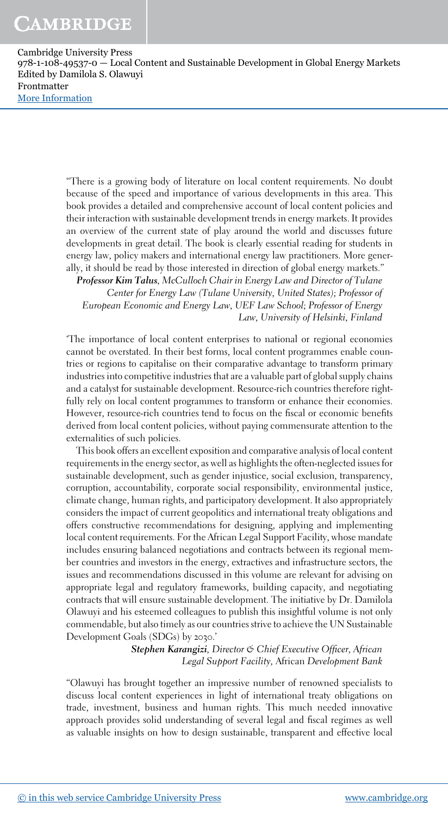> "There is a growing body of literature on local content requirements. No doubt because of the speed and importance of various developments in this area. This book provides a detailed and comprehensive account of local content policies and their interaction with sustainable development trends in energy markets. It provides an overview of the current state of play around the world and discusses future developments in great detail. The book is clearly essential reading for students in energy law, policy makers and international energy law practitioners. More generally, it should be read by those interested in direction of global energy markets."

Professor Kim Talus*, McCulloch Chair in Energy Law and Director of Tulane Center for Energy Law (Tulane University, United States); Professor of European Economic and Energy Law, UEF Law School; Professor of Energy Law, University of Helsinki, Finland*

'The importance of local content enterprises to national or regional economies cannot be overstated. In their best forms, local content programmes enable countries or regions to capitalise on their comparative advantage to transform primary industries into competitive industries that are a valuable part of global supply chains and a catalyst for sustainable development. Resource-rich countries therefore rightfully rely on local content programmes to transform or enhance their economies. However, resource-rich countries tend to focus on the fiscal or economic benefits derived from local content policies, without paying commensurate attention to the externalities of such policies.

This book offers an excellent exposition and comparative analysis of local content requirements in the energy sector, as well as highlights the often-neglected issues for sustainable development, such as gender injustice, social exclusion, transparency, corruption, accountability, corporate social responsibility, environmental justice, climate change, human rights, and participatory development. It also appropriately considers the impact of current geopolitics and international treaty obligations and offers constructive recommendations for designing, applying and implementing local content requirements. For the African Legal Support Facility, whose mandate includes ensuring balanced negotiations and contracts between its regional member countries and investors in the energy, extractives and infrastructure sectors, the issues and recommendations discussed in this volume are relevant for advising on appropriate legal and regulatory frameworks, building capacity, and negotiating contracts that will ensure sustainable development. The initiative by Dr. Damilola Olawuyi and his esteemed colleagues to publish this insightful volume is not only commendable, but also timely as our countries strive to achieve the UN Sustainable Development Goals (SDGs) by 2030.'

> Stephen Karangizi*, Director & Chief Executive Officer, African Legal Support Facility,* African *Development Bank*

"Olawuyi has brought together an impressive number of renowned specialists to discuss local content experiences in light of international treaty obligations on trade, investment, business and human rights. This much needed innovative approach provides solid understanding of several legal and fiscal regimes as well as valuable insights on how to design sustainable, transparent and effective local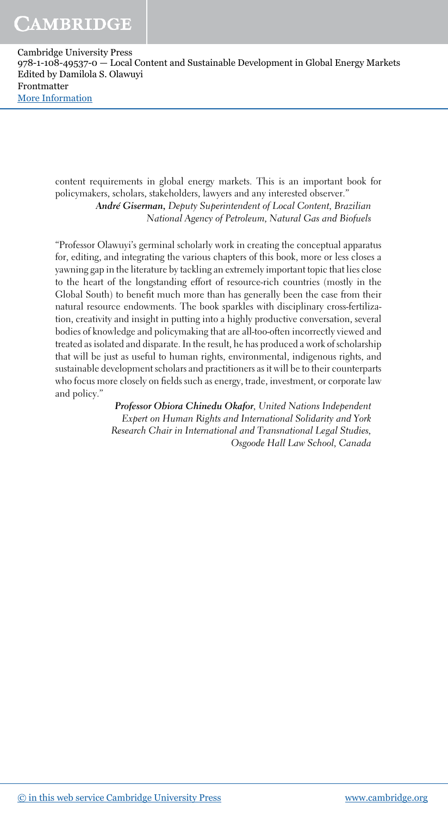content requirements in global energy markets. This is an important book for policymakers, scholars, stakeholders, lawyers and any interested observer." Andre´ Giserman, *Deputy Superintendent of Local Content, Brazilian National Agency of Petroleum, Natural Gas and Biofuels*

"Professor Olawuyi's germinal scholarly work in creating the conceptual apparatus for, editing, and integrating the various chapters of this book, more or less closes a yawning gap in the literature by tackling an extremely important topic that lies close to the heart of the longstanding effort of resource-rich countries (mostly in the Global South) to benefit much more than has generally been the case from their natural resource endowments. The book sparkles with disciplinary cross-fertilization, creativity and insight in putting into a highly productive conversation, several bodies of knowledge and policymaking that are all-too-often incorrectly viewed and treated as isolated and disparate. In the result, he has produced a work of scholarship that will be just as useful to human rights, environmental, indigenous rights, and sustainable development scholars and practitioners as it will be to their counterparts who focus more closely on fields such as energy, trade, investment, or corporate law and policy."

> Professor Obiora Chinedu Okafor*, United Nations Independent Expert on Human Rights and International Solidarity and York Research Chair in International and Transnational Legal Studies, Osgoode Hall Law School, Canada*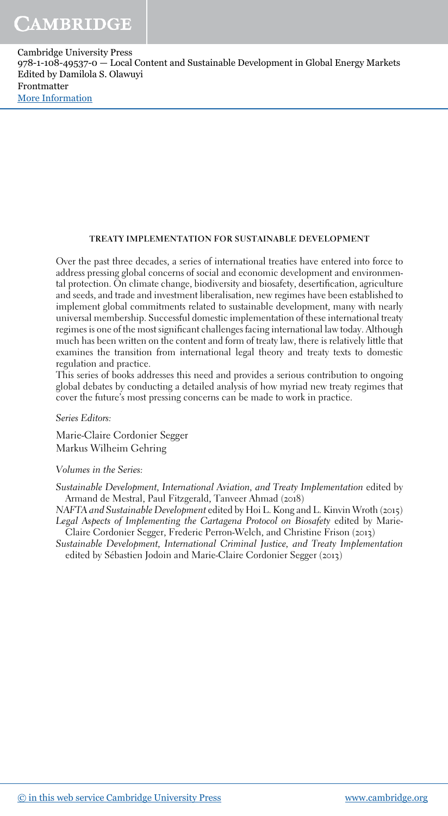#### TREATY IMPLEMENTATION FOR SUSTAINABLE DEVELOPMENT

Over the past three decades, a series of international treaties have entered into force to address pressing global concerns of social and economic development and environmental protection. On climate change, biodiversity and biosafety, desertification, agriculture and seeds, and trade and investment liberalisation, new regimes have been established to implement global commitments related to sustainable development, many with nearly universal membership. Successful domestic implementation of these international treaty regimes is one of the most significant challenges facing international law today. Although much has been written on the content and form of treaty law, there is relatively little that examines the transition from international legal theory and treaty texts to domestic regulation and practice.

This series of books addresses this need and provides a serious contribution to ongoing global debates by conducting a detailed analysis of how myriad new treaty regimes that cover the future's most pressing concerns can be made to work in practice.

*Series Editors:*

Marie-Claire Cordonier Segger Markus Wilheim Gehring

*Volumes in the Series:*

*Sustainable Development, International Aviation, and Treaty Implementation* edited by Armand de Mestral, Paul Fitzgerald, Tanveer Ahmad (2018)

*NAFTA and Sustainable Development* edited by Hoi L. Kong and L. Kinvin Wroth (2015) *Legal Aspects of Implementing the Cartagena Protocol on Biosafety* edited by Marie-Claire Cordonier Segger, Frederic Perron-Welch, and Christine Frison (2013)

*Sustainable Development, International Criminal Justice, and Treaty Implementation* edited by Sébastien Jodoin and Marie-Claire Cordonier Segger (2013)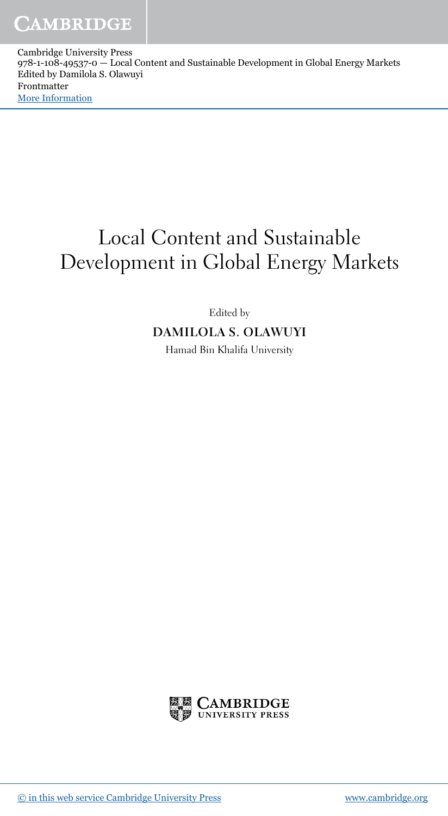# Local Content and Sustainable Development in Global Energy Markets

Edited by

DAMILOLA S. OLAWUYI

Hamad Bin Khalifa University

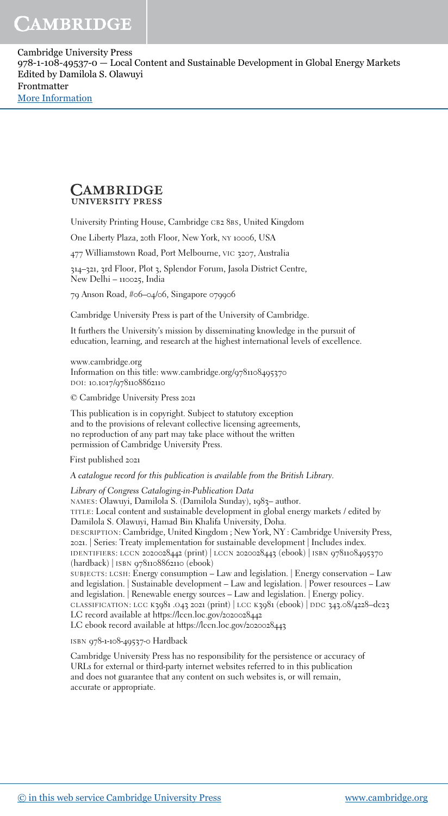#### **CAMBRIDGE UNIVERSITY PRESS**

University Printing House, Cambridge CB2 8BS, United Kingdom

One Liberty Plaza, 20th Floor, New York, NY 10006, USA

477 Williamstown Road, Port Melbourne, VIC 3207, Australia

314–321, 3rd Floor, Plot 3, Splendor Forum, Jasola District Centre, New Delhi – 110025, India

79 Anson Road, #06–04/06, Singapore 079906

Cambridge University Press is part of the University of Cambridge.

It furthers the University's mission by disseminating knowledge in the pursuit of education, learning, and research at the highest international levels of excellence.

www.cambridge.org Information on this title: www.cambridge.org/9781108495370 DOI: 10.1017/9781108862110

© Cambridge University Press 2021

This publication is in copyright. Subject to statutory exception and to the provisions of relevant collective licensing agreements, no reproduction of any part may take place without the written permission of Cambridge University Press.

First published 2021

A catalogue record for this publication is available from the British Library.

*Library of Congress Cataloging-in-Publication Data* NAMES: Olawuyi, Damilola S. (Damilola Sunday), 1983– author. TITLE: Local content and sustainable development in global energy markets / edited by Damilola S. Olawuyi, Hamad Bin Khalifa University, Doha. DESCRIPTION: Cambridge, United Kingdom ; New York, NY : Cambridge University Press, 2021. | Series: Treaty implementation for sustainable development | Includes index. IDENTIFIERS: LCCN 2020028442 (print) | LCCN 2020028443 (ebook) | ISBN 9781108495370 (hardback) | ISBN 9781108862110 (ebook) SUBJECTS: LCSH: Energy consumption – Law and legislation. | Energy conservation – Law and legislation. | Sustainable development – Law and legislation. | Power resources – Law and legislation. | Renewable energy sources – Law and legislation. | Energy policy. CLASSIFICATION: LCC <sup>K</sup>3981 .O43 2021 (print) | LCC <sup>K</sup>3981 (ebook) | DDC 343.08/4228–dc23 LC record available at https://lccn.loc.gov/2020028442 LC ebook record available at https://lccn.loc.gov/2020028443

ISBN 978-1-108-49537-0 Hardback

Cambridge University Press has no responsibility for the persistence or accuracy of URLs for external or third-party internet websites referred to in this publication and does not guarantee that any content on such websites is, or will remain, accurate or appropriate.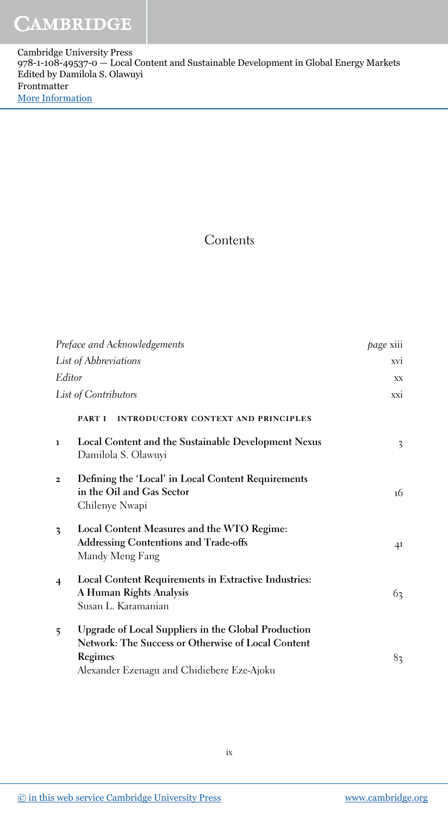## Contents

| Preface and Acknowledgements |                                                                                                                                                                    | <i>page</i> xiii |
|------------------------------|--------------------------------------------------------------------------------------------------------------------------------------------------------------------|------------------|
| List of Abbreviations        |                                                                                                                                                                    | <b>XVI</b>       |
| Editor                       |                                                                                                                                                                    | XX.              |
| List of Contributors         |                                                                                                                                                                    | <b>XXI</b>       |
|                              | <b>INTRODUCTORY CONTEXT AND PRINCIPLES</b><br>PART I                                                                                                               |                  |
| $\mathbf{1}$                 | Local Content and the Sustainable Development Nexus<br>Damilola S. Olawuyi                                                                                         | 3                |
| $\overline{\mathbf{z}}$      | Defining the 'Local' in Local Content Requirements<br>in the Oil and Gas Sector<br>Chilenye Nwapi                                                                  | 16               |
| $\overline{\mathbf{3}}$      | Local Content Measures and the WTO Regime:<br><b>Addressing Contentions and Trade-offs</b><br>Mandy Meng Fang                                                      | 41               |
| $\overline{4}$               | Local Content Requirements in Extractive Industries:<br>A Human Rights Analysis<br>Susan L. Karamanian                                                             | 63               |
| 5                            | Upgrade of Local Suppliers in the Global Production<br>Network: The Success or Otherwise of Local Content<br>Regimes<br>Alexander Ezenagu and Chidiebere Eze-Ajoku | 83               |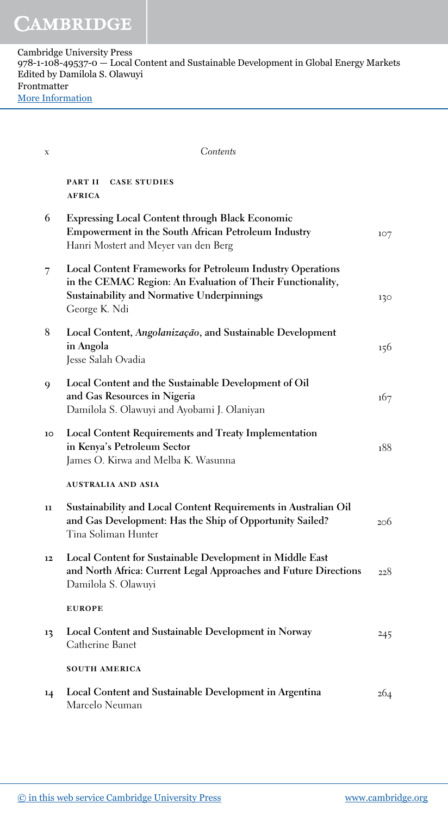| X  | Contents                                                                                                                                                                                              |     |
|----|-------------------------------------------------------------------------------------------------------------------------------------------------------------------------------------------------------|-----|
|    | PART II<br><b>CASE STUDIES</b><br><b>AFRICA</b>                                                                                                                                                       |     |
| 6  | <b>Expressing Local Content through Black Economic</b><br>Empowerment in the South African Petroleum Industry<br>Hanri Mostert and Meyer van den Berg                                                 | 107 |
| 7  | <b>Local Content Frameworks for Petroleum Industry Operations</b><br>in the CEMAC Region: An Evaluation of Their Functionality,<br><b>Sustainability and Normative Underpinnings</b><br>George K. Ndi | 130 |
| 8  | Local Content, Angolanização, and Sustainable Development<br>in Angola<br>Jesse Salah Ovadia                                                                                                          | 156 |
| 9  | Local Content and the Sustainable Development of Oil<br>and Gas Resources in Nigeria<br>Damilola S. Olawuyi and Ayobami J. Olaniyan                                                                   | 167 |
| 10 | <b>Local Content Requirements and Treaty Implementation</b><br>in Kenya's Petroleum Sector<br>James O. Kirwa and Melba K. Wasunna                                                                     | 188 |
|    | AUSTRALIA AND ASIA                                                                                                                                                                                    |     |
| 11 | Sustainability and Local Content Requirements in Australian Oil<br>and Gas Development: Has the Ship of Opportunity Sailed?<br>Tina Soliman Hunter                                                    | 206 |
| 12 | Local Content for Sustainable Development in Middle East<br>and North Africa: Current Legal Approaches and Future Directions<br>Damilola S. Olawuyi                                                   | 228 |
|    | <b>EUROPE</b>                                                                                                                                                                                         |     |
| 13 | Local Content and Sustainable Development in Norway<br>Catherine Banet                                                                                                                                | 245 |
|    | <b>SOUTH AMERICA</b>                                                                                                                                                                                  |     |
| 14 | Local Content and Sustainable Development in Argentina<br>Marcelo Neuman                                                                                                                              | 264 |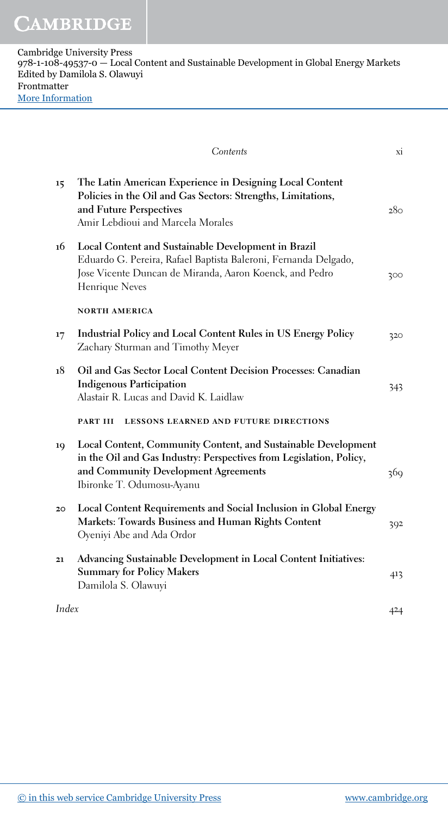| Cambridge University Press                                                               |
|------------------------------------------------------------------------------------------|
| $978-1-108-49537-0$ – Local Content and Sustainable Development in Global Energy Markets |
| Edited by Damilola S. Olawuyi                                                            |
| Frontmatter                                                                              |
| <b>More Information</b>                                                                  |

|       | Contents                                                                                                                                                                                                  | xi  |
|-------|-----------------------------------------------------------------------------------------------------------------------------------------------------------------------------------------------------------|-----|
| 15    | The Latin American Experience in Designing Local Content<br>Policies in the Oil and Gas Sectors: Strengths, Limitations,<br>and Future Perspectives<br>Amir Lebdioui and Marcela Morales                  | 280 |
| 16    | Local Content and Sustainable Development in Brazil<br>Eduardo G. Pereira, Rafael Baptista Baleroni, Fernanda Delgado,<br>Jose Vicente Duncan de Miranda, Aaron Koenck, and Pedro<br>Henrique Neves       | 300 |
|       | <b>NORTH AMERICA</b>                                                                                                                                                                                      |     |
| 17    | Industrial Policy and Local Content Rules in US Energy Policy<br>Zachary Sturman and Timothy Meyer                                                                                                        | 320 |
| 18    | Oil and Gas Sector Local Content Decision Processes: Canadian<br><b>Indigenous Participation</b><br>Alastair R. Lucas and David K. Laidlaw                                                                | 343 |
|       | PART III<br><b>LESSONS LEARNED AND FUTURE DIRECTIONS</b>                                                                                                                                                  |     |
| 19    | Local Content, Community Content, and Sustainable Development<br>in the Oil and Gas Industry: Perspectives from Legislation, Policy,<br>and Community Development Agreements<br>Ibironke T. Odumosu-Ayanu | 369 |
| 20    | Local Content Requirements and Social Inclusion in Global Energy<br>Markets: Towards Business and Human Rights Content<br>Oyeniyi Abe and Ada Ordor                                                       | 392 |
| 21    | Advancing Sustainable Development in Local Content Initiatives:<br><b>Summary for Policy Makers</b><br>Damilola S. Olawuyi                                                                                | 413 |
| Index |                                                                                                                                                                                                           | 424 |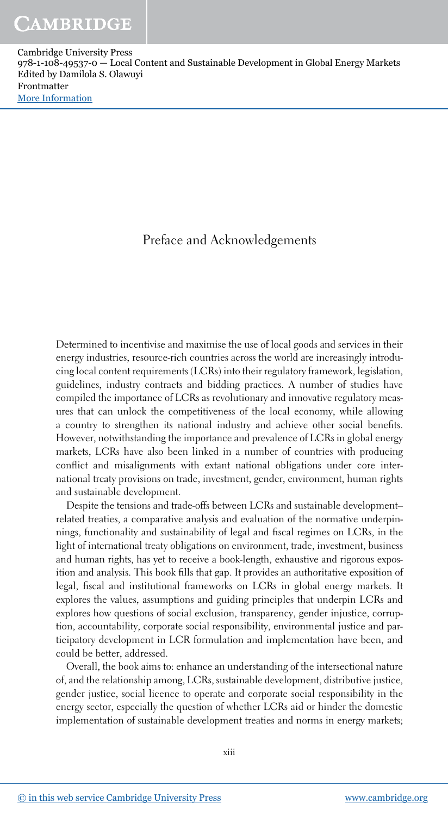## Preface and Acknowledgements

Determined to incentivise and maximise the use of local goods and services in their energy industries, resource-rich countries across the world are increasingly introducing local content requirements (LCRs) into their regulatory framework, legislation, guidelines, industry contracts and bidding practices. A number of studies have compiled the importance of LCRs as revolutionary and innovative regulatory measures that can unlock the competitiveness of the local economy, while allowing a country to strengthen its national industry and achieve other social benefits. However, notwithstanding the importance and prevalence of LCRs in global energy markets, LCRs have also been linked in a number of countries with producing conflict and misalignments with extant national obligations under core international treaty provisions on trade, investment, gender, environment, human rights and sustainable development.

Despite the tensions and trade-offs between LCRs and sustainable development– related treaties, a comparative analysis and evaluation of the normative underpinnings, functionality and sustainability of legal and fiscal regimes on LCRs, in the light of international treaty obligations on environment, trade, investment, business and human rights, has yet to receive a book-length, exhaustive and rigorous exposition and analysis. This book fills that gap. It provides an authoritative exposition of legal, fiscal and institutional frameworks on LCRs in global energy markets. It explores the values, assumptions and guiding principles that underpin LCRs and explores how questions of social exclusion, transparency, gender injustice, corruption, accountability, corporate social responsibility, environmental justice and participatory development in LCR formulation and implementation have been, and could be better, addressed.

Overall, the book aims to: enhance an understanding of the intersectional nature of, and the relationship among, LCRs, sustainable development, distributive justice, gender justice, social licence to operate and corporate social responsibility in the energy sector, especially the question of whether LCRs aid or hinder the domestic implementation of sustainable development treaties and norms in energy markets;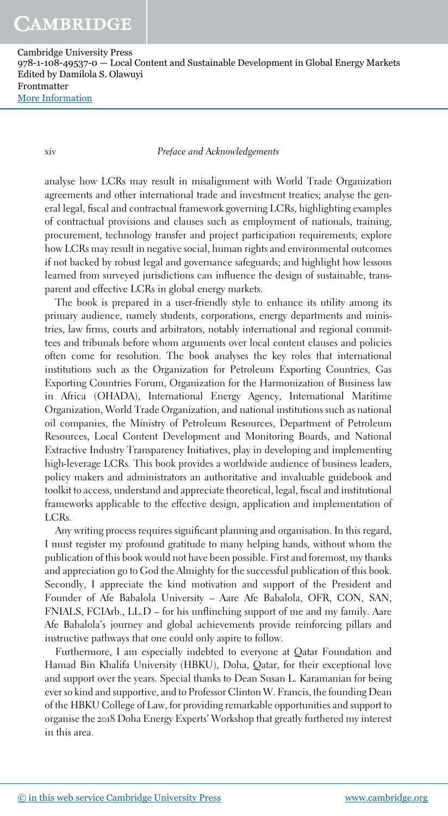xiv *Preface and Acknowledgements*

analyse how LCRs may result in misalignment with World Trade Organization agreements and other international trade and investment treaties; analyse the general legal, fiscal and contractual framework governing LCRs, highlighting examples of contractual provisions and clauses such as employment of nationals, training, procurement, technology transfer and project participation requirements; explore how LCRs may result in negative social, human rights and environmental outcomes if not backed by robust legal and governance safeguards; and highlight how lessons learned from surveyed jurisdictions can influence the design of sustainable, transparent and effective LCRs in global energy markets.

The book is prepared in a user-friendly style to enhance its utility among its primary audience, namely students, corporations, energy departments and ministries, law firms, courts and arbitrators, notably international and regional committees and tribunals before whom arguments over local content clauses and policies often come for resolution. The book analyses the key roles that international institutions such as the Organization for Petroleum Exporting Countries, Gas Exporting Countries Forum, Organization for the Harmonization of Business law in Africa (OHADA), International Energy Agency, International Maritime Organization, World Trade Organization, and national institutions such as national oil companies, the Ministry of Petroleum Resources, Department of Petroleum Resources, Local Content Development and Monitoring Boards, and National Extractive Industry Transparency Initiatives, play in developing and implementing high-leverage LCRs. This book provides a worldwide audience of business leaders, policy makers and administrators an authoritative and invaluable guidebook and toolkit to access, understand and appreciate theoretical, legal, fiscal and institutional frameworks applicable to the effective design, application and implementation of LCRs.

Any writing process requires significant planning and organisation. In this regard, I must register my profound gratitude to many helping hands, without whom the publication of this book would not have been possible. First and foremost, my thanks and appreciation go to God the Almighty for the successful publication of this book. Secondly, I appreciate the kind motivation and support of the President and Founder of Afe Babalola University – Aare Afe Babalola, OFR, CON, SAN, FNIALS, FCIArb., LL.D – for his unflinching support of me and my family. Aare Afe Babalola's journey and global achievements provide reinforcing pillars and instructive pathways that one could only aspire to follow.

Furthermore, I am especially indebted to everyone at Qatar Foundation and Hamad Bin Khalifa University (HBKU), Doha, Qatar, for their exceptional love and support over the years. Special thanks to Dean Susan L. Karamanian for being ever so kind and supportive, and to Professor Clinton W. Francis, the founding Dean of the HBKU College of Law, for providing remarkable opportunities and support to organise the 2018 Doha Energy Experts' Workshop that greatly furthered my interest in this area.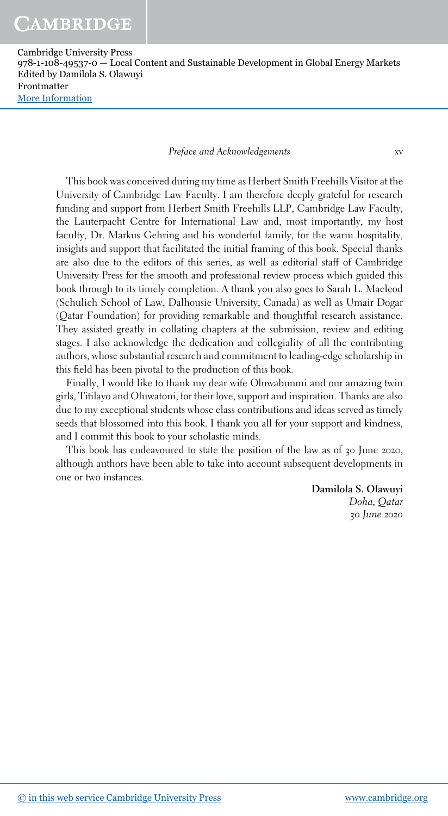*Preface and Acknowledgements* xv

This book was conceived during my time as Herbert Smith Freehills Visitor at the University of Cambridge Law Faculty. I am therefore deeply grateful for research funding and support from Herbert Smith Freehills LLP, Cambridge Law Faculty, the Lauterpacht Centre for International Law and, most importantly, my host faculty, Dr. Markus Gehring and his wonderful family, for the warm hospitality, insights and support that facilitated the initial framing of this book. Special thanks are also due to the editors of this series, as well as editorial staff of Cambridge University Press for the smooth and professional review process which guided this book through to its timely completion. A thank you also goes to Sarah L. Macleod (Schulich School of Law, Dalhousie University, Canada) as well as Umair Dogar (Qatar Foundation) for providing remarkable and thoughtful research assistance. They assisted greatly in collating chapters at the submission, review and editing stages. I also acknowledge the dedication and collegiality of all the contributing authors, whose substantial research and commitment to leading-edge scholarship in this field has been pivotal to the production of this book.

Finally, I would like to thank my dear wife Oluwabunmi and our amazing twin girls, Titilayo and Oluwatoni, for their love, support and inspiration. Thanks are also due to my exceptional students whose class contributions and ideas served as timely seeds that blossomed into this book. I thank you all for your support and kindness, and I commit this book to your scholastic minds.

This book has endeavoured to state the position of the law as of 30 June 2020, although authors have been able to take into account subsequent developments in one or two instances.

> Damilola S. Olawuyi *Doha, Qatar* 30 *June* 2020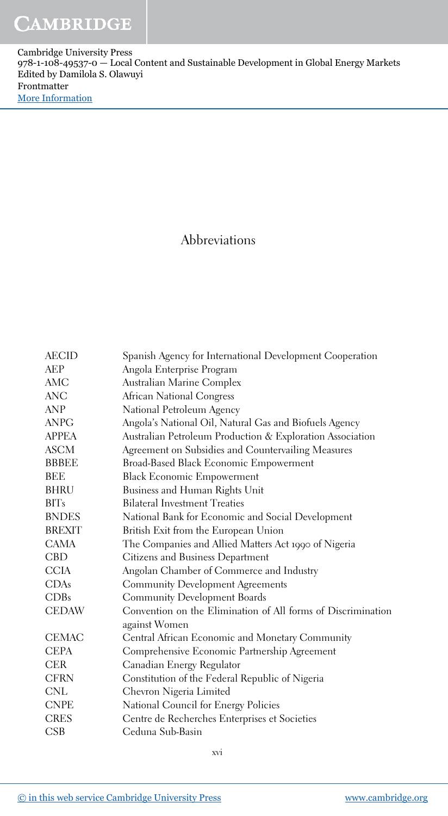### Abbreviations

| <b>AECID</b>  | Spanish Agency for International Development Cooperation                      |
|---------------|-------------------------------------------------------------------------------|
| <b>AEP</b>    | Angola Enterprise Program                                                     |
| AMC           | Australian Marine Complex                                                     |
| <b>ANC</b>    | African National Congress                                                     |
| ANP           | National Petroleum Agency                                                     |
| <b>ANPG</b>   | Angola's National Oil, Natural Gas and Biofuels Agency                        |
| <b>APPEA</b>  | Australian Petroleum Production & Exploration Association                     |
| <b>ASCM</b>   | Agreement on Subsidies and Countervailing Measures                            |
| <b>BBBEE</b>  | Broad-Based Black Economic Empowerment                                        |
| BEE           | <b>Black Economic Empowerment</b>                                             |
| <b>BHRU</b>   | Business and Human Rights Unit                                                |
| <b>BITs</b>   | <b>Bilateral Investment Treaties</b>                                          |
| <b>BNDES</b>  | National Bank for Economic and Social Development                             |
| <b>BREXIT</b> | British Exit from the European Union                                          |
| <b>CAMA</b>   | The Companies and Allied Matters Act 1990 of Nigeria                          |
| <b>CBD</b>    | Citizens and Business Department                                              |
| <b>CCIA</b>   | Angolan Chamber of Commerce and Industry                                      |
| CDAs          | <b>Community Development Agreements</b>                                       |
| CDBs          | <b>Community Development Boards</b>                                           |
| <b>CEDAW</b>  | Convention on the Elimination of All forms of Discrimination<br>against Women |
| <b>CEMAC</b>  | Central African Economic and Monetary Community                               |
| <b>CEPA</b>   | Comprehensive Economic Partnership Agreement                                  |
| <b>CER</b>    | Canadian Energy Regulator                                                     |
| <b>CFRN</b>   | Constitution of the Federal Republic of Nigeria                               |
| <b>CNL</b>    | Chevron Nigeria Limited                                                       |
| <b>CNPE</b>   | National Council for Energy Policies                                          |
| <b>CRES</b>   | Centre de Recherches Enterprises et Societies                                 |
| CSB           | Ceduna Sub-Basin                                                              |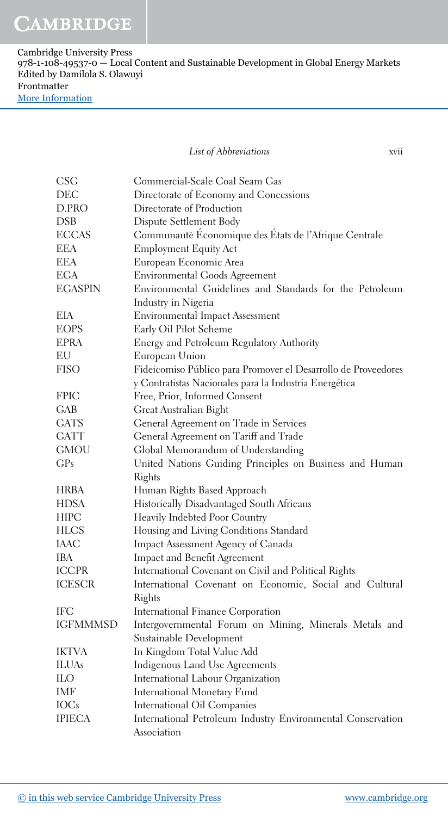*List of Abbreviations* xvii

| <b>CSG</b>      | Commercial-Scale Coal Seam Gas                                 |
|-----------------|----------------------------------------------------------------|
| DEC             | Directorate of Economy and Concessions                         |
| D.PRO           | Directorate of Production                                      |
| <b>DSB</b>      | Dispute Settlement Body                                        |
| <b>ECCAS</b>    | Communaute Économique des États de l'Afrique Centrale          |
| <b>EEA</b>      | <b>Employment Equity Act</b>                                   |
| <b>EEA</b>      | European Economic Area                                         |
| <b>EGA</b>      | <b>Environmental Goods Agreement</b>                           |
| <b>EGASPIN</b>  | Environmental Guidelines and Standards for the Petroleum       |
|                 | Industry in Nigeria                                            |
| EIA             | <b>Environmental Impact Assessment</b>                         |
| <b>EOPS</b>     | Early Oil Pilot Scheme                                         |
| <b>EPRA</b>     | Energy and Petroleum Regulatory Authority                      |
| EU              | European Union                                                 |
| <b>FISO</b>     | Fideicomiso Público para Promover el Desarrollo de Proveedores |
|                 | y Contratistas Nacionales para la Industria Energética         |
| <b>FPIC</b>     | Free, Prior, Informed Consent                                  |
| GAB             | Great Australian Bight                                         |
| <b>GATS</b>     | General Agreement on Trade in Services                         |
| <b>GATT</b>     | General Agreement on Tariff and Trade                          |
| <b>GMOU</b>     | Global Memorandum of Understanding                             |
| CP <sub>s</sub> | United Nations Guiding Principles on Business and Human        |
|                 | Rights                                                         |
| <b>HRBA</b>     | Human Rights Based Approach                                    |
| <b>HDSA</b>     | Historically Disadvantaged South Africans                      |
| <b>HIPC</b>     | Heavily Indebted Poor Country                                  |
| <b>HLCS</b>     | Housing and Living Conditions Standard                         |
| IAAC            | Impact Assessment Agency of Canada                             |
| <b>IBA</b>      | Impact and Benefit Agreement                                   |
| <b>ICCPR</b>    | International Covenant on Civil and Political Rights           |
| <b>ICESCR</b>   | International Covenant on Economic, Social and Cultural        |
|                 | Rights                                                         |
| IFC             | International Finance Corporation                              |
| <b>IGFMMMSD</b> | Intergovernmental Forum on Mining, Minerals Metals and         |
|                 | Sustainable Development                                        |
| <b>IKTVA</b>    | In Kingdom Total Value Add                                     |
| <b>ILUAs</b>    | Indigenous Land Use Agreements                                 |
| <b>ILO</b>      | International Labour Organization                              |
| IMF             | International Monetary Fund                                    |
| <b>IOCs</b>     | International Oil Companies                                    |
| <b>IPIECA</b>   | International Petroleum Industry Environmental Conservation    |
|                 | Association                                                    |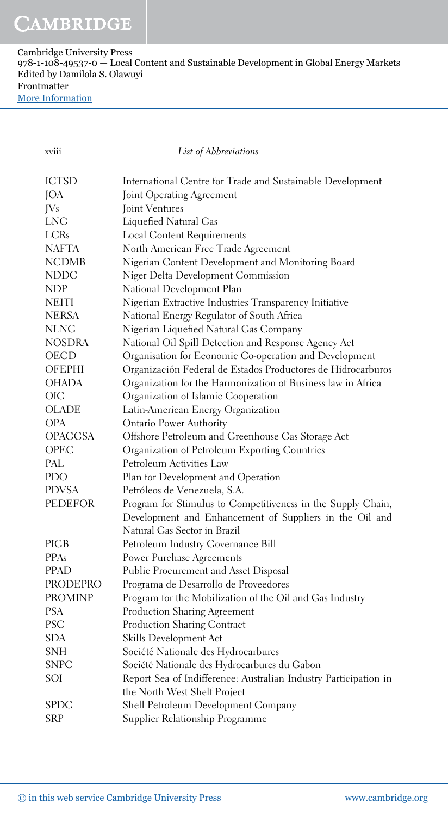| Cambridge University Press                                                             |
|----------------------------------------------------------------------------------------|
| 978-1-108-49537-0 — Local Content and Sustainable Development in Global Energy Markets |
| Edited by Damilola S. Olawuyi                                                          |
| Frontmatter                                                                            |
| More Information                                                                       |

xviii *List of Abbreviations*

| <b>ICTSD</b>   | International Centre for Trade and Sustainable Development       |
|----------------|------------------------------------------------------------------|
| JOA            | Joint Operating Agreement                                        |
| JVs            | Joint Ventures                                                   |
| <b>LNG</b>     | Liquefied Natural Gas                                            |
| LCRs           | <b>Local Content Requirements</b>                                |
| <b>NAFTA</b>   | North American Free Trade Agreement                              |
| <b>NCDMB</b>   | Nigerian Content Development and Monitoring Board                |
| <b>NDDC</b>    | Niger Delta Development Commission                               |
| <b>NDP</b>     | National Development Plan                                        |
| <b>NEITI</b>   | Nigerian Extractive Industries Transparency Initiative           |
| <b>NERSA</b>   | National Energy Regulator of South Africa                        |
| NLNG           | Nigerian Liquefied Natural Gas Company                           |
| <b>NOSDRA</b>  | National Oil Spill Detection and Response Agency Act             |
| OECD           | Organisation for Economic Co-operation and Development           |
| <b>OFEPHI</b>  | Organización Federal de Estados Productores de Hidrocarburos     |
| OHADA          | Organization for the Harmonization of Business law in Africa     |
| OIC            | Organization of Islamic Cooperation                              |
| <b>OLADE</b>   | Latin-American Energy Organization                               |
| <b>OPA</b>     | <b>Ontario Power Authority</b>                                   |
| <b>OPAGGSA</b> | Offshore Petroleum and Greenhouse Gas Storage Act                |
| OPEC           | Organization of Petroleum Exporting Countries                    |
| PAL            | Petroleum Activities Law                                         |
| <b>PDO</b>     | Plan for Development and Operation                               |
| <b>PDVSA</b>   | Petróleos de Venezuela, S.A.                                     |
| <b>PEDEFOR</b> | Program for Stimulus to Competitiveness in the Supply Chain,     |
|                | Development and Enhancement of Suppliers in the Oil and          |
|                | Natural Gas Sector in Brazil                                     |
| <b>PIGB</b>    | Petroleum Industry Governance Bill                               |
| <b>PPAs</b>    | Power Purchase Agreements                                        |
| <b>PPAD</b>    | Public Procurement and Asset Disposal                            |
| PRODEPRO       | Programa de Desarrollo de Proveedores                            |
| <b>PROMINP</b> | Program for the Mobilization of the Oil and Gas Industry         |
| <b>PSA</b>     | Production Sharing Agreement                                     |
| PSC            | Production Sharing Contract                                      |
| <b>SDA</b>     | Skills Development Act                                           |
| <b>SNH</b>     | Société Nationale des Hydrocarbures                              |
| <b>SNPC</b>    | Société Nationale des Hydrocarbures du Gabon                     |
| SOI            | Report Sea of Indifference: Australian Industry Participation in |
|                | the North West Shelf Project                                     |
| <b>SPDC</b>    | Shell Petroleum Development Company                              |
| <b>SRP</b>     | Supplier Relationship Programme                                  |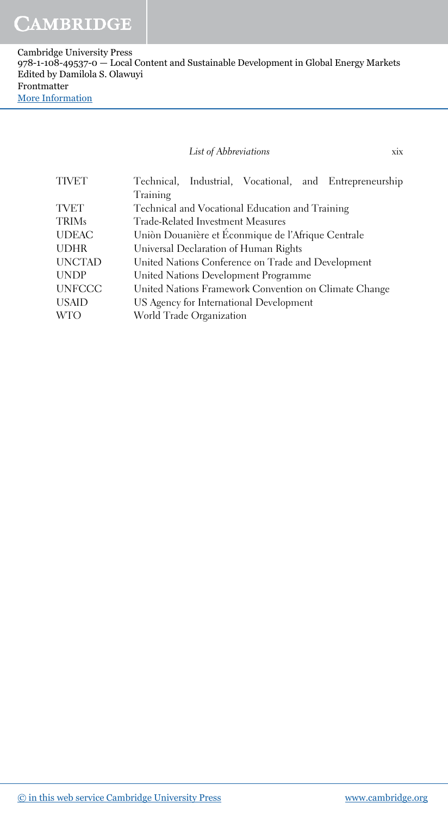#### *List of Abbreviations* xix

TIVET Technical, Industrial, Vocational, and Entrepreneurship Training TVET Technical and Vocational Education and Training TRIMs Trade-Related Investment Measures UDEAC Union Douanière et Éconmique de l'Afrique Centrale UDHR Universal Declaration of Human Rights UNCTAD United Nations Conference on Trade and Development UNDP United Nations Development Programme UNFCCC United Nations Framework Convention on Climate Change USAID US Agency for International Development WTO World Trade Organization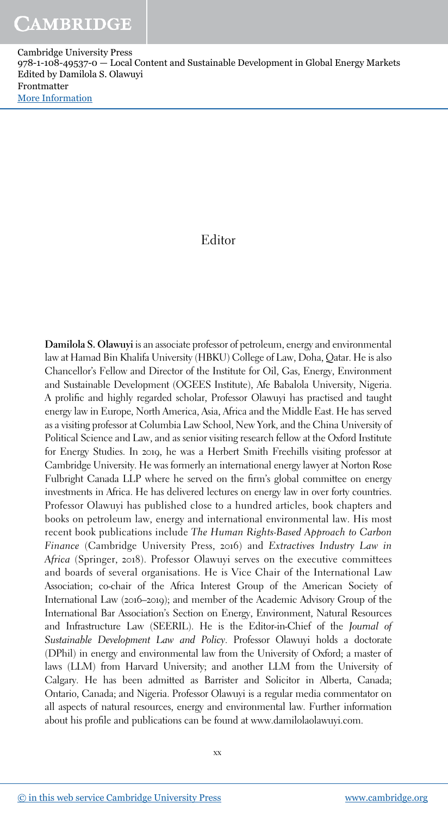### Editor

Damilola S. Olawuyi is an associate professor of petroleum, energy and environmental law at Hamad Bin Khalifa University (HBKU) College of Law, Doha, Qatar. He is also Chancellor's Fellow and Director of the Institute for Oil, Gas, Energy, Environment and Sustainable Development (OGEES Institute), Afe Babalola University, Nigeria. A prolific and highly regarded scholar, Professor Olawuyi has practised and taught energy law in Europe, North America, Asia, Africa and the Middle East. He has served as a visiting professor at Columbia Law School, New York, and the China University of Political Science and Law, and as senior visiting research fellow at the Oxford Institute for Energy Studies. In 2019, he was a Herbert Smith Freehills visiting professor at Cambridge University. He was formerly an international energy lawyer at Norton Rose Fulbright Canada LLP where he served on the firm's global committee on energy investments in Africa. He has delivered lectures on energy law in over forty countries. Professor Olawuyi has published close to a hundred articles, book chapters and books on petroleum law, energy and international environmental law. His most recent book publications include *The Human Rights-Based Approach to Carbon Finance* (Cambridge University Press, 2016) and *Extractives Industry Law in Africa* (Springer, 2018). Professor Olawuyi serves on the executive committees and boards of several organisations. He is Vice Chair of the International Law Association; co-chair of the Africa Interest Group of the American Society of International Law (2016–2019); and member of the Academic Advisory Group of the International Bar Association's Section on Energy, Environment, Natural Resources and Infrastructure Law (SEERIL). He is the Editor-in-Chief of the *Journal of Sustainable Development Law and Policy*. Professor Olawuyi holds a doctorate (DPhil) in energy and environmental law from the University of Oxford; a master of laws (LLM) from Harvard University; and another LLM from the University of Calgary. He has been admitted as Barrister and Solicitor in Alberta, Canada; Ontario, Canada; and Nigeria. Professor Olawuyi is a regular media commentator on all aspects of natural resources, energy and environmental law. Further information about his profile and publications can be found at www.damilolaolawuyi.com.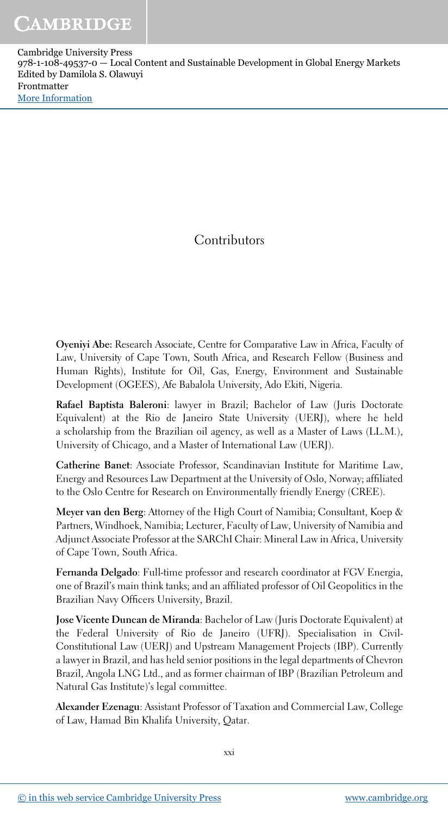# **Contributors**

Oyeniyi Abe: Research Associate, Centre for Comparative Law in Africa, Faculty of Law, University of Cape Town, South Africa, and Research Fellow (Business and Human Rights), Institute for Oil, Gas, Energy, Environment and Sustainable Development (OGEES), Afe Babalola University, Ado Ekiti, Nigeria.

Rafael Baptista Baleroni: lawyer in Brazil; Bachelor of Law (Juris Doctorate Equivalent) at the Rio de Janeiro State University (UERJ), where he held a scholarship from the Brazilian oil agency, as well as a Master of Laws (LL.M.), University of Chicago, and a Master of International Law (UERJ).

Catherine Banet: Associate Professor, Scandinavian Institute for Maritime Law, Energy and Resources Law Department at the University of Oslo, Norway; affiliated to the Oslo Centre for Research on Environmentally friendly Energy (CREE).

Meyer van den Berg: Attorney of the High Court of Namibia; Consultant, Koep & Partners, Windhoek, Namibia; Lecturer, Faculty of Law, University of Namibia and Adjunct Associate Professor at the SARChI Chair: Mineral Law in Africa, University of Cape Town, South Africa.

Fernanda Delgado: Full-time professor and research coordinator at FGV Energia, one of Brazil's main think tanks; and an affiliated professor of Oil Geopolitics in the Brazilian Navy Officers University, Brazil.

Jose Vicente Duncan de Miranda: Bachelor of Law (Juris Doctorate Equivalent) at the Federal University of Rio de Janeiro (UFRJ). Specialisation in Civil-Constitutional Law (UERJ) and Upstream Management Projects (IBP). Currently a lawyer in Brazil, and has held senior positions in the legal departments of Chevron Brazil, Angola LNG Ltd., and as former chairman of IBP (Brazilian Petroleum and Natural Gas Institute)'s legal committee.

Alexander Ezenagu: Assistant Professor of Taxation and Commercial Law, College of Law, Hamad Bin Khalifa University, Qatar.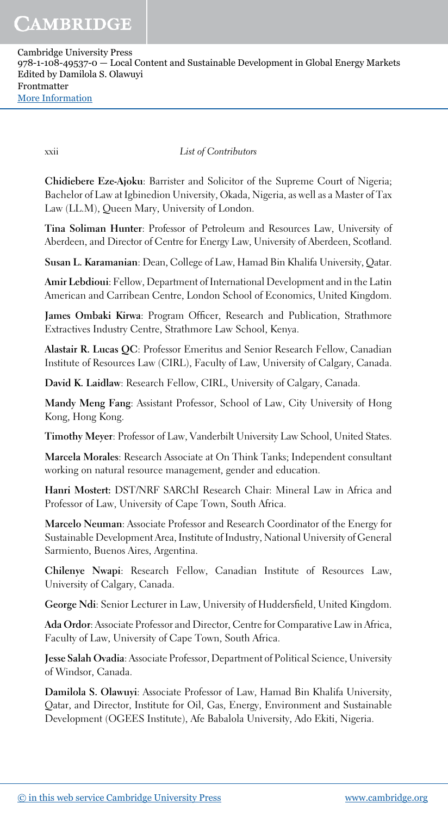xxii *List of Contributors*

Chidiebere Eze-Ajoku: Barrister and Solicitor of the Supreme Court of Nigeria; Bachelor of Law at Igbinedion University, Okada, Nigeria, as well as a Master of Tax Law (LL.M), Queen Mary, University of London.

Tina Soliman Hunter: Professor of Petroleum and Resources Law, University of Aberdeen, and Director of Centre for Energy Law, University of Aberdeen, Scotland.

Susan L. Karamanian: Dean, College of Law, Hamad Bin Khalifa University, Qatar.

Amir Lebdioui: Fellow, Department of International Development and in the Latin American and Carribean Centre, London School of Economics, United Kingdom.

James Ombaki Kirwa: Program Officer, Research and Publication, Strathmore Extractives Industry Centre, Strathmore Law School, Kenya.

Alastair R. Lucas QC: Professor Emeritus and Senior Research Fellow, Canadian Institute of Resources Law (CIRL), Faculty of Law, University of Calgary, Canada.

David K. Laidlaw: Research Fellow, CIRL, University of Calgary, Canada.

Mandy Meng Fang: Assistant Professor, School of Law, City University of Hong Kong, Hong Kong.

Timothy Meyer: Professor of Law, Vanderbilt University Law School, United States.

Marcela Morales: Research Associate at On Think Tanks; Independent consultant working on natural resource management, gender and education.

Hanri Mostert: DST/NRF SARChI Research Chair: Mineral Law in Africa and Professor of Law, University of Cape Town, South Africa.

Marcelo Neuman: Associate Professor and Research Coordinator of the Energy for Sustainable Development Area, Institute of Industry, National University of General Sarmiento, Buenos Aires, Argentina.

Chilenye Nwapi: Research Fellow, Canadian Institute of Resources Law, University of Calgary, Canada.

George Ndi: Senior Lecturer in Law, University of Huddersfield, United Kingdom.

Ada Ordor: Associate Professor and Director, Centre for Comparative Law in Africa, Faculty of Law, University of Cape Town, South Africa.

Jesse Salah Ovadia: Associate Professor, Department of Political Science, University of Windsor, Canada.

Damilola S. Olawuyi: Associate Professor of Law, Hamad Bin Khalifa University, Qatar, and Director, Institute for Oil, Gas, Energy, Environment and Sustainable Development (OGEES Institute), Afe Babalola University, Ado Ekiti, Nigeria.